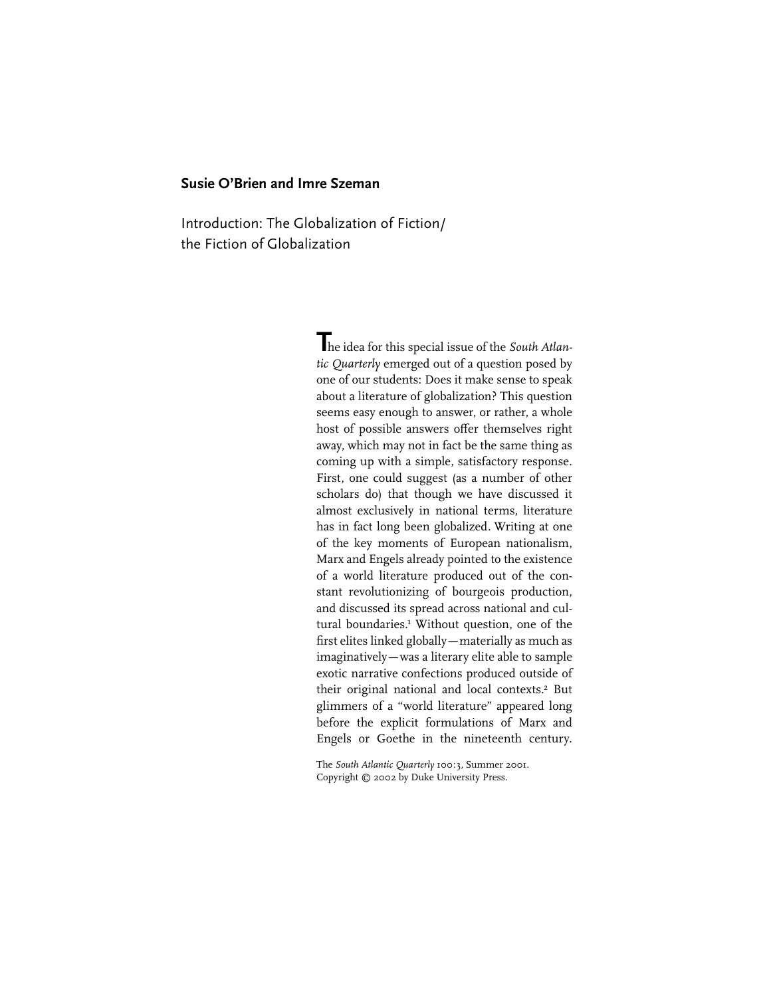## Susie O'Brien and Imre Szeman

Introduction: The Globalization of Fiction/ the Fiction of Globalization

> he idea for this special issue of the South Atlantic Quarterly emerged out of a question posed by one of our students: Does it make sense to speak about a literature of globalization? This question seems easy enough to answer, or rather, a whole host of possible answers offer themselves right away, which may not in fact be the same thing as coming up with a simple, satisfactory response. First, one could suggest (as a number of other scholars do) that though we have discussed it almost exclusively in national terms, literature has in fact long been globalized. Writing at one of the key moments of European nationalism, Marx and Engels already pointed to the existence of a world literature produced out of the constant revolutionizing of bourgeois production, and discussed its spread across national and cultural boundaries.<sup>1</sup> Without question, one of the first elites linked globally—materially as much as imaginatively—was a literary elite able to sample exotic narrative confections produced outside of their original national and local contexts.<sup>2</sup> But glimmers of a ''world literature'' appeared long before the explicit formulations of Marx and Engels or Goethe in the nineteenth century.

The South Atlantic Quarterly 100:3, Summer 2001. Copyright © 2002 by Duke University Press.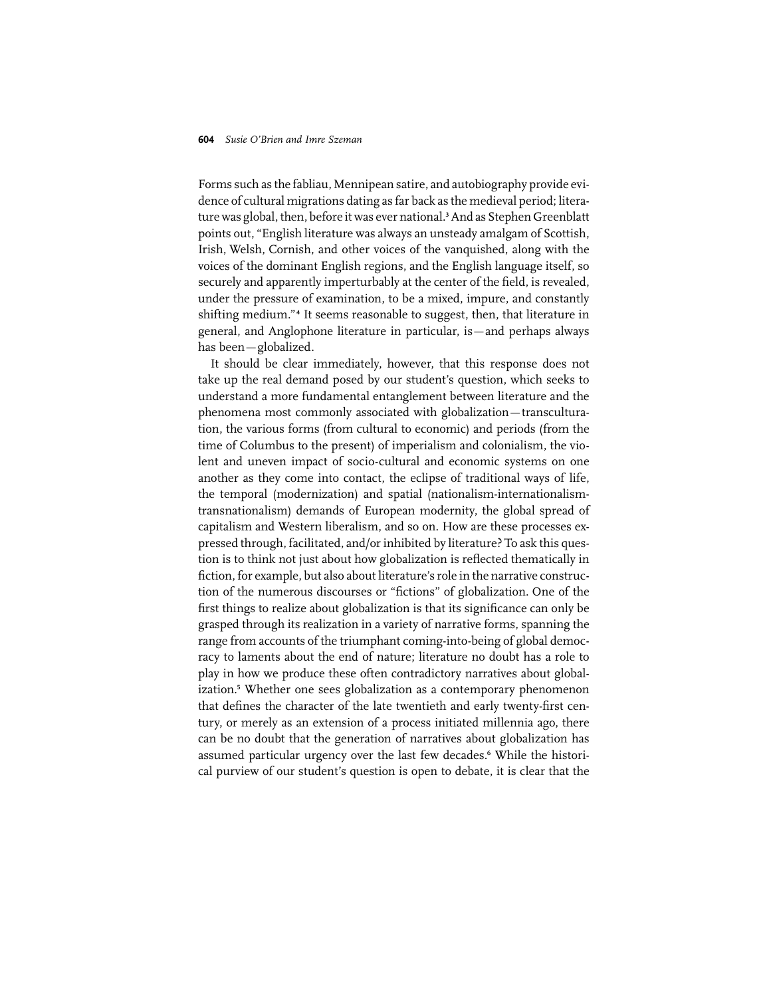Forms such as the fabliau, Mennipean satire, and autobiography provide evidence of cultural migrations dating as far back as the medieval period; literature was global, then, before it was ever national.<sup>3</sup> And as Stephen Greenblatt points out, ''English literature was always an unsteady amalgam of Scottish, Irish, Welsh, Cornish, and other voices of the vanquished, along with the voices of the dominant English regions, and the English language itself, so securely and apparently imperturbably at the center of the field, is revealed, under the pressure of examination, to be a mixed, impure, and constantly shifting medium."<sup>4</sup> It seems reasonable to suggest, then, that literature in general, and Anglophone literature in particular, is—and perhaps always has been—globalized.

It should be clear immediately, however, that this response does not take up the real demand posed by our student's question, which seeks to understand a more fundamental entanglement between literature and the phenomena most commonly associated with globalization—transculturation, the various forms (from cultural to economic) and periods (from the time of Columbus to the present) of imperialism and colonialism, the violent and uneven impact of socio-cultural and economic systems on one another as they come into contact, the eclipse of traditional ways of life, the temporal (modernization) and spatial (nationalism-internationalismtransnationalism) demands of European modernity, the global spread of capitalism and Western liberalism, and so on. How are these processes expressed through, facilitated, and/or inhibited by literature? To ask this question is to think not just about how globalization is reflected thematically in fiction, for example, but also about literature's role in the narrative construction of the numerous discourses or ''fictions'' of globalization. One of the first things to realize about globalization is that its significance can only be grasped through its realization in a variety of narrative forms, spanning the range from accounts of the triumphant coming-into-being of global democracy to laments about the end of nature; literature no doubt has a role to play in how we produce these often contradictory narratives about globalization.<sup>5</sup> Whether one sees globalization as a contemporary phenomenon that defines the character of the late twentieth and early twenty-first century, or merely as an extension of a process initiated millennia ago, there can be no doubt that the generation of narratives about globalization has assumed particular urgency over the last few decades.<sup>6</sup> While the historical purview of our student's question is open to debate, it is clear that the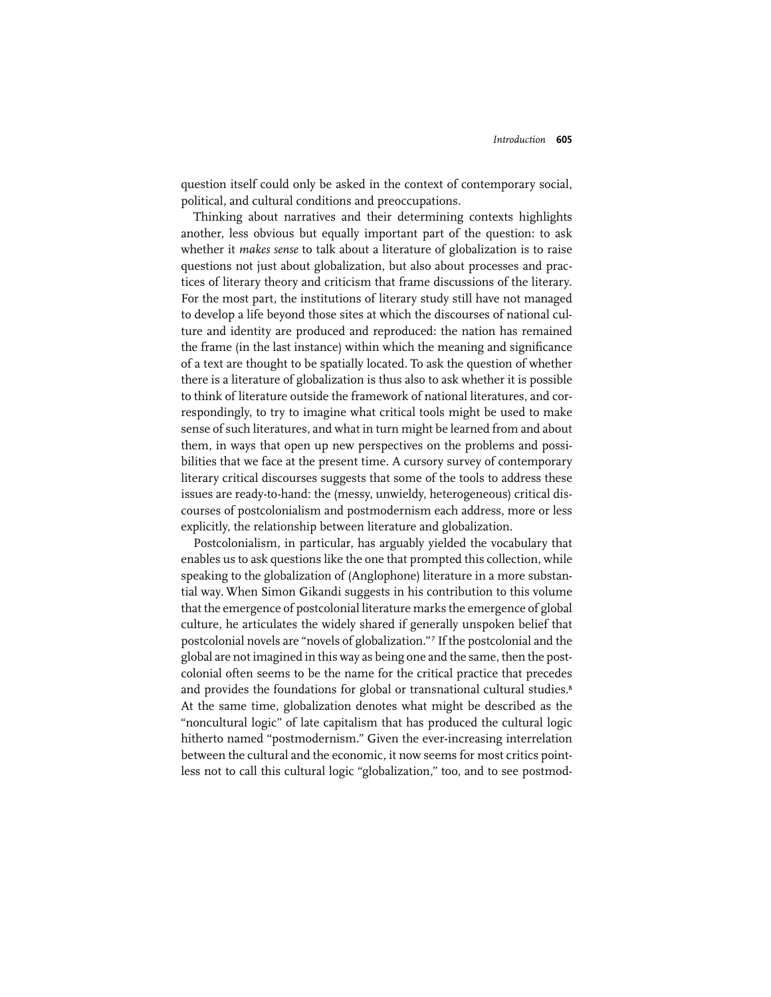question itself could only be asked in the context of contemporary social, political, and cultural conditions and preoccupations.

Thinking about narratives and their determining contexts highlights another, less obvious but equally important part of the question: to ask whether it makes sense to talk about a literature of globalization is to raise questions not just about globalization, but also about processes and practices of literary theory and criticism that frame discussions of the literary. For the most part, the institutions of literary study still have not managed to develop a life beyond those sites at which the discourses of national culture and identity are produced and reproduced: the nation has remained the frame (in the last instance) within which the meaning and significance of a text are thought to be spatially located. To ask the question of whether there is a literature of globalization is thus also to ask whether it is possible to think of literature outside the framework of national literatures, and correspondingly, to try to imagine what critical tools might be used to make sense of such literatures, and what in turn might be learned from and about them, in ways that open up new perspectives on the problems and possibilities that we face at the present time. A cursory survey of contemporary literary critical discourses suggests that some of the tools to address these issues are ready-to-hand: the (messy, unwieldy, heterogeneous) critical discourses of postcolonialism and postmodernism each address, more or less explicitly, the relationship between literature and globalization.

Postcolonialism, in particular, has arguably yielded the vocabulary that enables us to ask questions like the one that prompted this collection, while speaking to the globalization of (Anglophone) literature in a more substantial way. When Simon Gikandi suggests in his contribution to this volume that the emergence of postcolonial literature marks the emergence of global culture, he articulates the widely shared if generally unspoken belief that postcolonial novels are ''novels of globalization.''7 If the postcolonial and the global are not imagined in this way as being one and the same, then the postcolonial often seems to be the name for the critical practice that precedes and provides the foundations for global or transnational cultural studies.<sup>8</sup> At the same time, globalization denotes what might be described as the ''noncultural logic'' of late capitalism that has produced the cultural logic hitherto named "postmodernism." Given the ever-increasing interrelation between the cultural and the economic, it now seems for most critics pointless not to call this cultural logic "globalization," too, and to see postmod-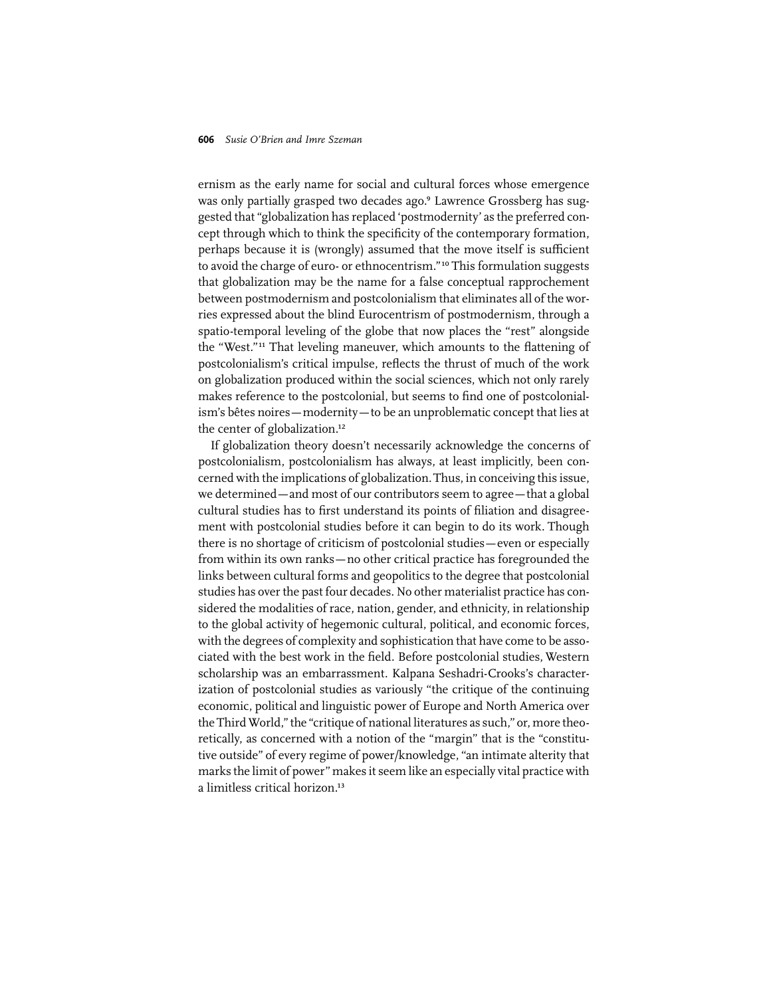ernism as the early name for social and cultural forces whose emergence was only partially grasped two decades ago.<sup>9</sup> Lawrence Grossberg has suggested that ''globalization has replaced 'postmodernity' as the preferred concept through which to think the specificity of the contemporary formation, perhaps because it is (wrongly) assumed that the move itself is sufficient to avoid the charge of euro- or ethnocentrism.''10 This formulation suggests that globalization may be the name for a false conceptual rapprochement between postmodernism and postcolonialism that eliminates all of the worries expressed about the blind Eurocentrism of postmodernism, through a spatio-temporal leveling of the globe that now places the "rest" alongside the ''West.''11 That leveling maneuver, which amounts to the flattening of postcolonialism's critical impulse, reflects the thrust of much of the work on globalization produced within the social sciences, which not only rarely makes reference to the postcolonial, but seems to find one of postcolonialism's bêtes noires—modernity—to be an unproblematic concept that lies at the center of globalization.<sup>12</sup>

If globalization theory doesn't necessarily acknowledge the concerns of postcolonialism, postcolonialism has always, at least implicitly, been concerned with the implications of globalization. Thus, in conceiving this issue, we determined—and most of our contributors seem to agree—that a global cultural studies has to first understand its points of filiation and disagreement with postcolonial studies before it can begin to do its work. Though there is no shortage of criticism of postcolonial studies—even or especially from within its own ranks—no other critical practice has foregrounded the links between cultural forms and geopolitics to the degree that postcolonial studies has over the past four decades. No other materialist practice has considered the modalities of race, nation, gender, and ethnicity, in relationship to the global activity of hegemonic cultural, political, and economic forces, with the degrees of complexity and sophistication that have come to be associated with the best work in the field. Before postcolonial studies, Western scholarship was an embarrassment. Kalpana Seshadri-Crooks's characterization of postcolonial studies as variously ''the critique of the continuing economic, political and linguistic power of Europe and North America over the Third World," the "critique of national literatures as such," or, more theoretically, as concerned with a notion of the "margin" that is the "constitutive outside'' of every regime of power/knowledge, ''an intimate alterity that marks the limit of power'' makes it seem like an especially vital practice with a limitless critical horizon.13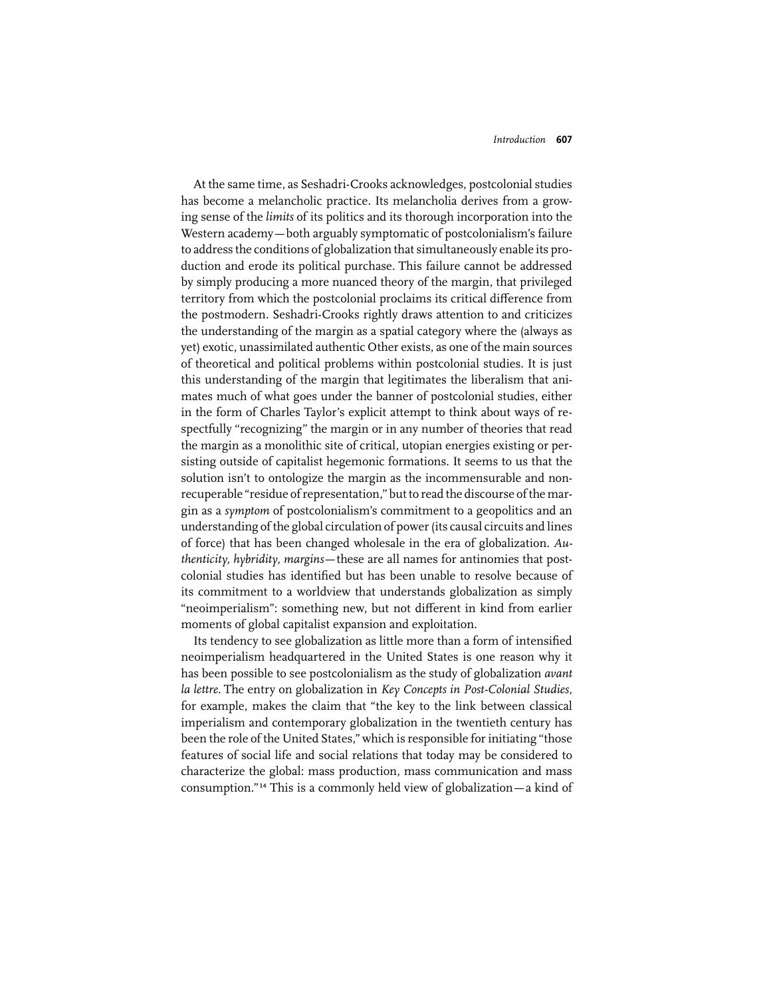At the same time, as Seshadri-Crooks acknowledges, postcolonial studies has become a melancholic practice. Its melancholia derives from a growing sense of the limits of its politics and its thorough incorporation into the Western academy—both arguably symptomatic of postcolonialism's failure to address the conditions of globalization that simultaneously enable its production and erode its political purchase. This failure cannot be addressed by simply producing a more nuanced theory of the margin, that privileged territory from which the postcolonial proclaims its critical difference from the postmodern. Seshadri-Crooks rightly draws attention to and criticizes the understanding of the margin as a spatial category where the (always as yet) exotic, unassimilated authentic Other exists, as one of the main sources of theoretical and political problems within postcolonial studies. It is just this understanding of the margin that legitimates the liberalism that animates much of what goes under the banner of postcolonial studies, either in the form of Charles Taylor's explicit attempt to think about ways of respectfully "recognizing" the margin or in any number of theories that read the margin as a monolithic site of critical, utopian energies existing or persisting outside of capitalist hegemonic formations. It seems to us that the solution isn't to ontologize the margin as the incommensurable and nonrecuperable "residue of representation," but to read the discourse of the margin as a symptom of postcolonialism's commitment to a geopolitics and an understanding of the global circulation of power (its causal circuits and lines of force) that has been changed wholesale in the era of globalization. Authenticity, hybridity, margins—these are all names for antinomies that postcolonial studies has identified but has been unable to resolve because of its commitment to a worldview that understands globalization as simply "neoimperialism": something new, but not different in kind from earlier moments of global capitalist expansion and exploitation.

Its tendency to see globalization as little more than a form of intensified neoimperialism headquartered in the United States is one reason why it has been possible to see postcolonialism as the study of globalization avant la lettre. The entry on globalization in Key Concepts in Post-Colonial Studies, for example, makes the claim that ''the key to the link between classical imperialism and contemporary globalization in the twentieth century has been the role of the United States," which is responsible for initiating "those features of social life and social relations that today may be considered to characterize the global: mass production, mass communication and mass consumption.''14 This is a commonly held view of globalization—a kind of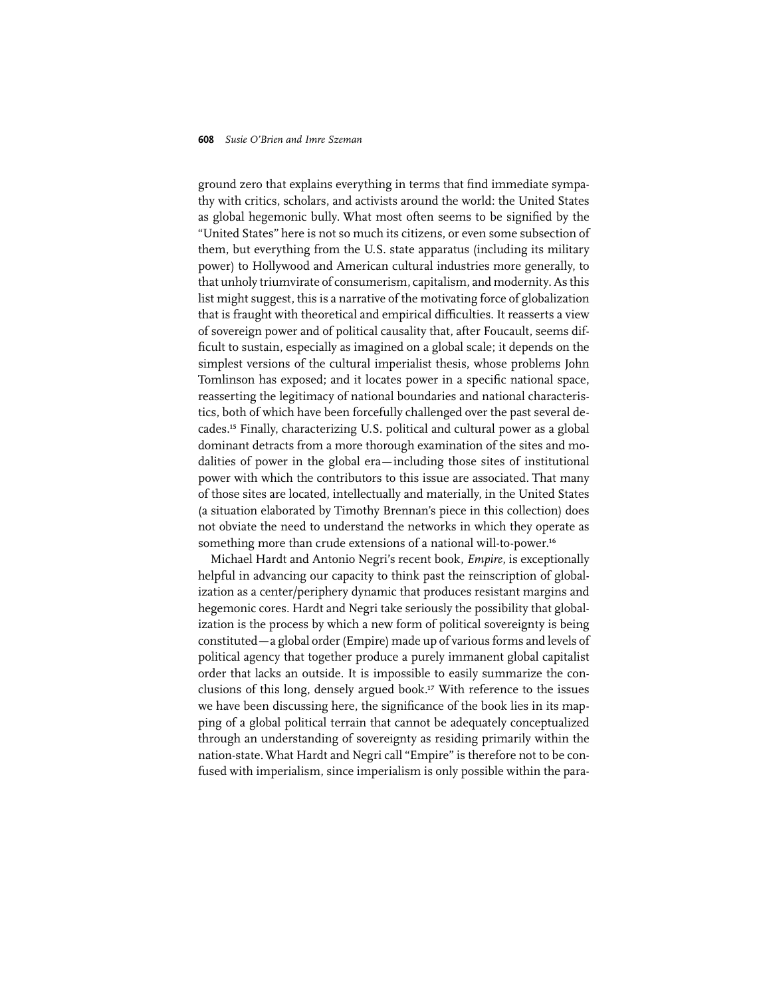ground zero that explains everything in terms that find immediate sympathy with critics, scholars, and activists around the world: the United States as global hegemonic bully. What most often seems to be signified by the ''United States'' here is not so much its citizens, or even some subsection of them, but everything from the U.S. state apparatus (including its military power) to Hollywood and American cultural industries more generally, to that unholy triumvirate of consumerism, capitalism, and modernity. As this list might suggest, this is a narrative of the motivating force of globalization that is fraught with theoretical and empirical difficulties. It reasserts a view of sovereign power and of political causality that, after Foucault, seems difficult to sustain, especially as imagined on a global scale; it depends on the simplest versions of the cultural imperialist thesis, whose problems John Tomlinson has exposed; and it locates power in a specific national space, reasserting the legitimacy of national boundaries and national characteristics, both of which have been forcefully challenged over the past several decades.15 Finally, characterizing U.S. political and cultural power as a global dominant detracts from a more thorough examination of the sites and modalities of power in the global era—including those sites of institutional power with which the contributors to this issue are associated. That many of those sites are located, intellectually and materially, in the United States (a situation elaborated by Timothy Brennan's piece in this collection) does not obviate the need to understand the networks in which they operate as something more than crude extensions of a national will-to-power.16

Michael Hardt and Antonio Negri's recent book, Empire, is exceptionally helpful in advancing our capacity to think past the reinscription of globalization as a center/periphery dynamic that produces resistant margins and hegemonic cores. Hardt and Negri take seriously the possibility that globalization is the process by which a new form of political sovereignty is being constituted—a global order (Empire) made up of various forms and levels of political agency that together produce a purely immanent global capitalist order that lacks an outside. It is impossible to easily summarize the conclusions of this long, densely argued book.17 With reference to the issues we have been discussing here, the significance of the book lies in its mapping of a global political terrain that cannot be adequately conceptualized through an understanding of sovereignty as residing primarily within the nation-state.What Hardt and Negri call ''Empire'' is therefore not to be confused with imperialism, since imperialism is only possible within the para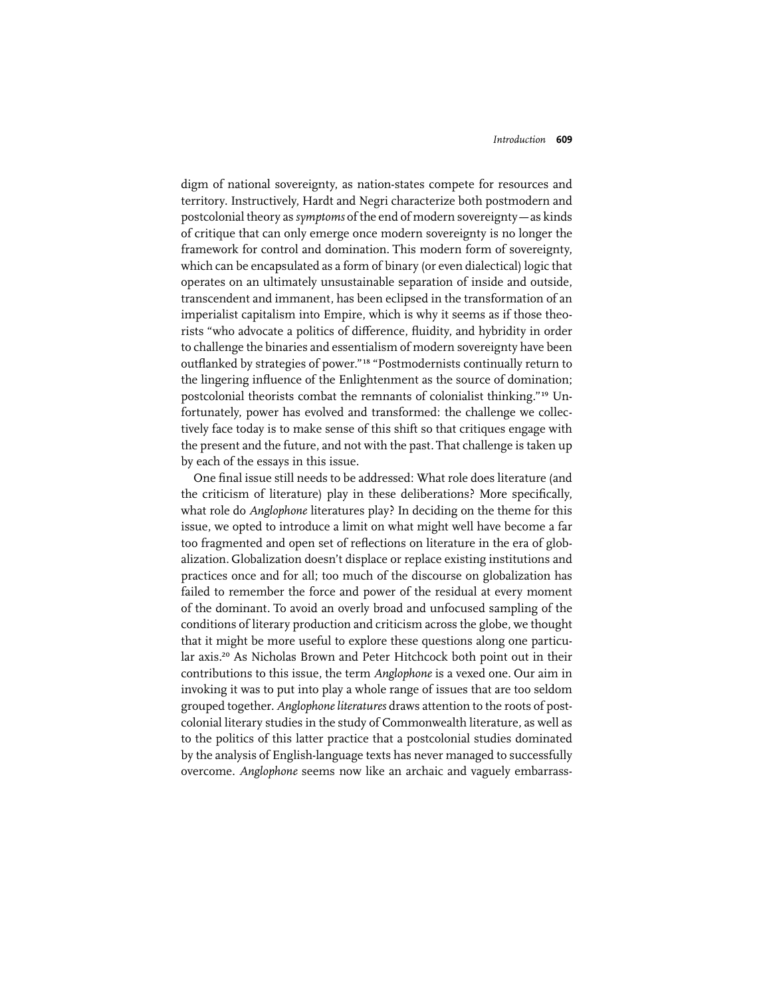digm of national sovereignty, as nation-states compete for resources and territory. Instructively, Hardt and Negri characterize both postmodern and postcolonial theory as symptoms of the end of modern sovereignty—as kinds of critique that can only emerge once modern sovereignty is no longer the framework for control and domination. This modern form of sovereignty, which can be encapsulated as a form of binary (or even dialectical) logic that operates on an ultimately unsustainable separation of inside and outside, transcendent and immanent, has been eclipsed in the transformation of an imperialist capitalism into Empire, which is why it seems as if those theorists ''who advocate a politics of difference, fluidity, and hybridity in order to challenge the binaries and essentialism of modern sovereignty have been outflanked by strategies of power.''18 ''Postmodernists continually return to the lingering influence of the Enlightenment as the source of domination; postcolonial theorists combat the remnants of colonialist thinking.''19 Unfortunately, power has evolved and transformed: the challenge we collectively face today is to make sense of this shift so that critiques engage with the present and the future, and not with the past. That challenge is taken up by each of the essays in this issue.

One final issue still needs to be addressed: What role does literature (and the criticism of literature) play in these deliberations? More specifically, what role do Anglophone literatures play? In deciding on the theme for this issue, we opted to introduce a limit on what might well have become a far too fragmented and open set of reflections on literature in the era of globalization. Globalization doesn't displace or replace existing institutions and practices once and for all; too much of the discourse on globalization has failed to remember the force and power of the residual at every moment of the dominant. To avoid an overly broad and unfocused sampling of the conditions of literary production and criticism across the globe, we thought that it might be more useful to explore these questions along one particular axis.<sup>20</sup> As Nicholas Brown and Peter Hitchcock both point out in their contributions to this issue, the term Anglophone is a vexed one. Our aim in invoking it was to put into play a whole range of issues that are too seldom grouped together. Anglophone literatures draws attention to the roots of postcolonial literary studies in the study of Commonwealth literature, as well as to the politics of this latter practice that a postcolonial studies dominated by the analysis of English-language texts has never managed to successfully overcome. Anglophone seems now like an archaic and vaguely embarrass-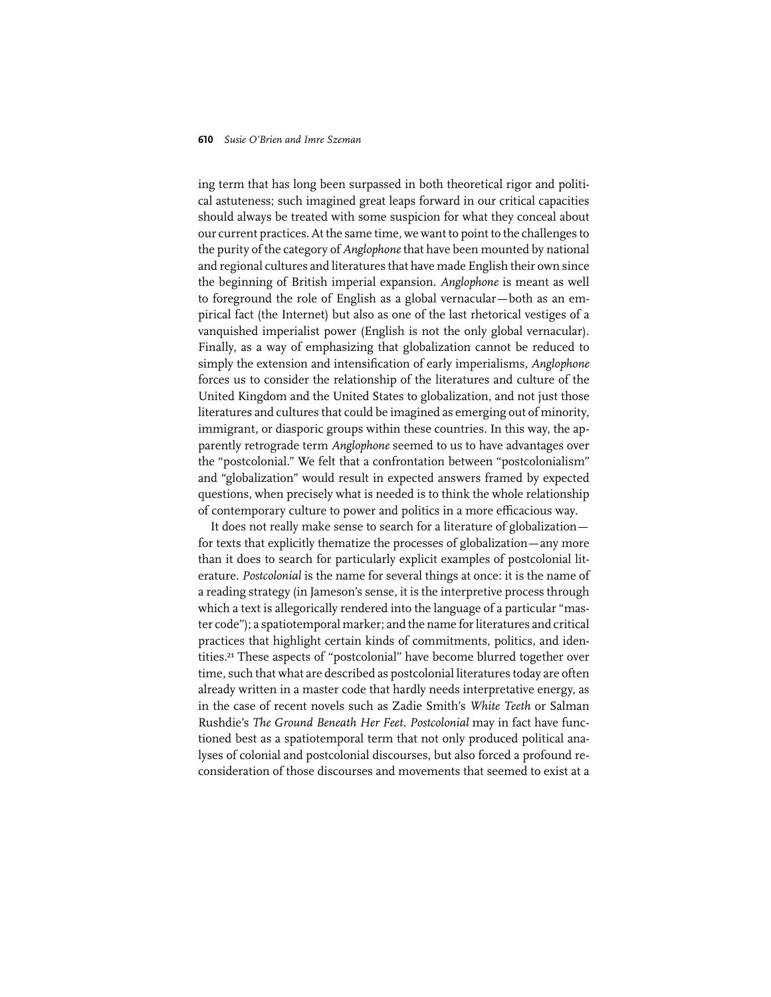ing term that has long been surpassed in both theoretical rigor and political astuteness; such imagined great leaps forward in our critical capacities should always be treated with some suspicion for what they conceal about our current practices. At the same time, we want to point to the challenges to the purity of the category of *Anglophone* that have been mounted by national and regional cultures and literatures that have made English their own since the beginning of British imperial expansion. Anglophone is meant as well to foreground the role of English as a global vernacular—both as an empirical fact (the Internet) but also as one of the last rhetorical vestiges of a vanquished imperialist power (English is not the only global vernacular). Finally, as a way of emphasizing that globalization cannot be reduced to simply the extension and intensification of early imperialisms, Anglophone forces us to consider the relationship of the literatures and culture of the United Kingdom and the United States to globalization, and not just those literatures and cultures that could be imagined as emerging out of minority, immigrant, or diasporic groups within these countries. In this way, the apparently retrograde term Anglophone seemed to us to have advantages over the ''postcolonial.'' We felt that a confrontation between ''postcolonialism'' and ''globalization'' would result in expected answers framed by expected questions, when precisely what is needed is to think the whole relationship of contemporary culture to power and politics in a more efficacious way.

It does not really make sense to search for a literature of globalization for texts that explicitly thematize the processes of globalization—any more than it does to search for particularly explicit examples of postcolonial literature. Postcolonial is the name for several things at once: it is the name of a reading strategy (in Jameson's sense, it is the interpretive process through which a text is allegorically rendered into the language of a particular ''master code''); a spatiotemporal marker; and the name for literatures and critical practices that highlight certain kinds of commitments, politics, and identities.21 These aspects of ''postcolonial'' have become blurred together over time, such that what are described as postcolonial literatures today are often already written in a master code that hardly needs interpretative energy, as in the case of recent novels such as Zadie Smith's White Teeth or Salman Rushdie's The Ground Beneath Her Feet. Postcolonial may in fact have functioned best as a spatiotemporal term that not only produced political analyses of colonial and postcolonial discourses, but also forced a profound reconsideration of those discourses and movements that seemed to exist at a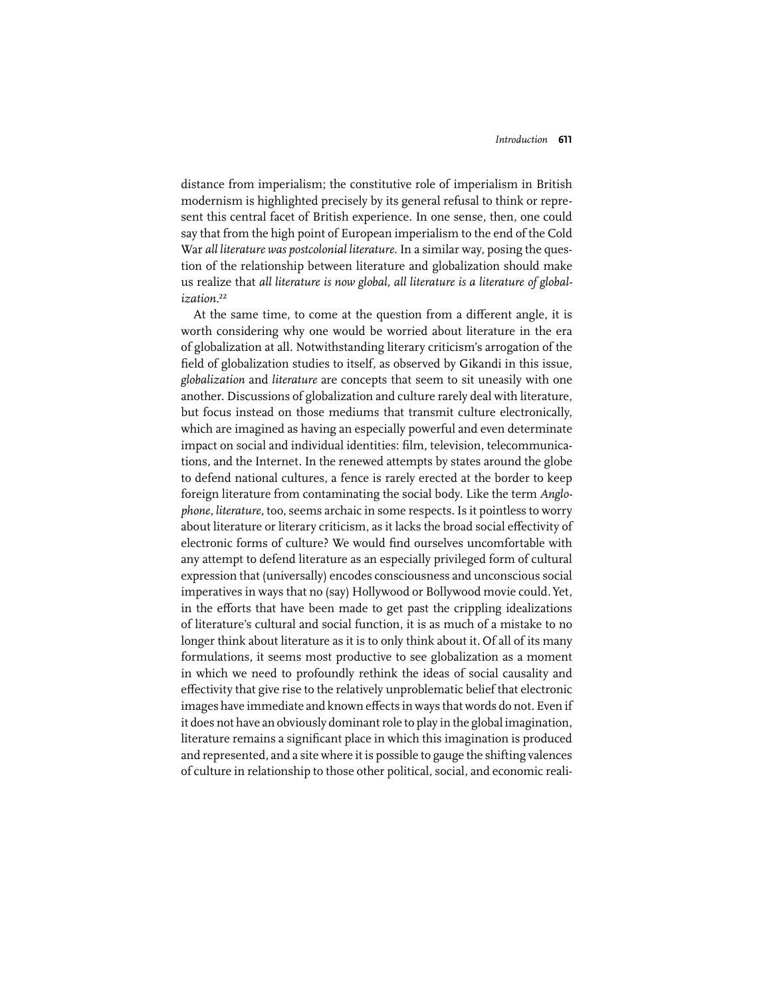distance from imperialism; the constitutive role of imperialism in British modernism is highlighted precisely by its general refusal to think or represent this central facet of British experience. In one sense, then, one could say that from the high point of European imperialism to the end of the Cold War all literature was postcolonial literature. In a similar way, posing the question of the relationship between literature and globalization should make us realize that all literature is now global, all literature is a literature of globalization. 22

At the same time, to come at the question from a different angle, it is worth considering why one would be worried about literature in the era of globalization at all. Notwithstanding literary criticism's arrogation of the field of globalization studies to itself, as observed by Gikandi in this issue, globalization and literature are concepts that seem to sit uneasily with one another. Discussions of globalization and culture rarely deal with literature, but focus instead on those mediums that transmit culture electronically, which are imagined as having an especially powerful and even determinate impact on social and individual identities: film, television, telecommunications, and the Internet. In the renewed attempts by states around the globe to defend national cultures, a fence is rarely erected at the border to keep foreign literature from contaminating the social body. Like the term Anglophone, literature, too, seems archaic in some respects. Is it pointless to worry about literature or literary criticism, as it lacks the broad social effectivity of electronic forms of culture? We would find ourselves uncomfortable with any attempt to defend literature as an especially privileged form of cultural expression that (universally) encodes consciousness and unconscious social imperatives in ways that no (say) Hollywood or Bollywood movie could. Yet, in the efforts that have been made to get past the crippling idealizations of literature's cultural and social function, it is as much of a mistake to no longer think about literature as it is to only think about it. Of all of its many formulations, it seems most productive to see globalization as a moment in which we need to profoundly rethink the ideas of social causality and effectivity that give rise to the relatively unproblematic belief that electronic images have immediate and known effects in ways that words do not. Even if it does not have an obviously dominant role to play in the global imagination, literature remains a significant place in which this imagination is produced and represented, and a site where it is possible to gauge the shifting valences of culture in relationship to those other political, social, and economic reali-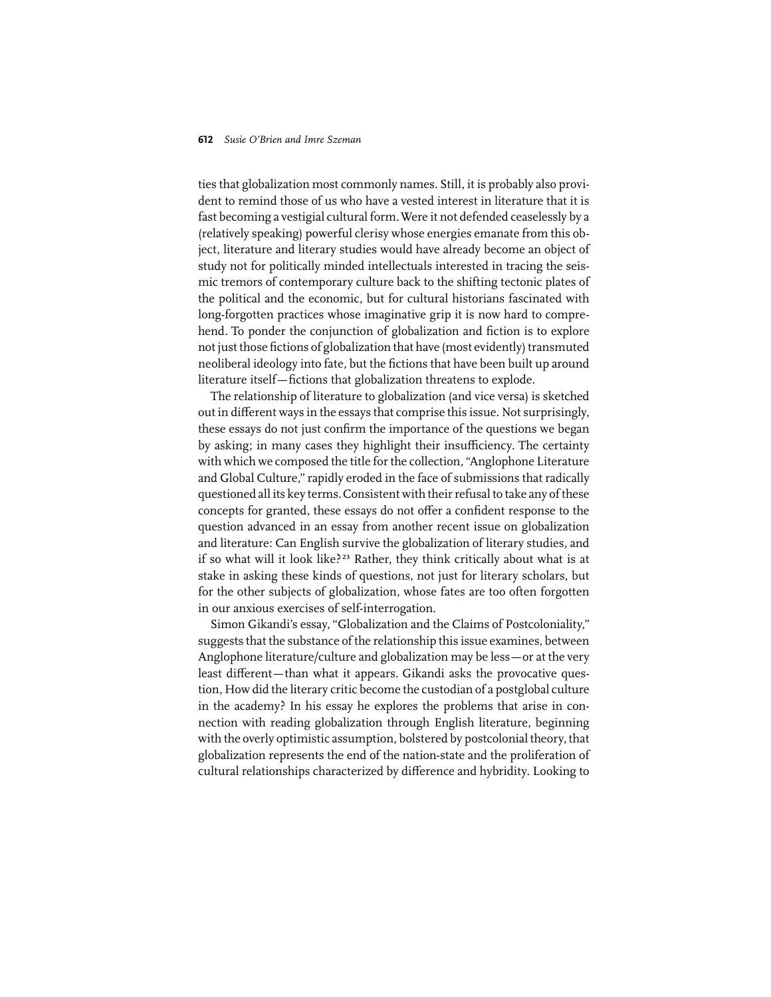ties that globalization most commonly names. Still, it is probably also provident to remind those of us who have a vested interest in literature that it is fast becoming a vestigial cultural form.Were it not defended ceaselessly by a (relatively speaking) powerful clerisy whose energies emanate from this object, literature and literary studies would have already become an object of study not for politically minded intellectuals interested in tracing the seismic tremors of contemporary culture back to the shifting tectonic plates of the political and the economic, but for cultural historians fascinated with long-forgotten practices whose imaginative grip it is now hard to comprehend. To ponder the conjunction of globalization and fiction is to explore not just those fictions of globalization that have (most evidently) transmuted neoliberal ideology into fate, but the fictions that have been built up around literature itself—fictions that globalization threatens to explode.

The relationship of literature to globalization (and vice versa) is sketched out in different ways in the essays that comprise this issue. Not surprisingly, these essays do not just confirm the importance of the questions we began by asking; in many cases they highlight their insufficiency. The certainty with which we composed the title for the collection, "Anglophone Literature and Global Culture,'' rapidly eroded in the face of submissions that radically questioned all its key terms.Consistent with their refusal to take any of these concepts for granted, these essays do not offer a confident response to the question advanced in an essay from another recent issue on globalization and literature: Can English survive the globalization of literary studies, and if so what will it look like?<sup>23</sup> Rather, they think critically about what is at stake in asking these kinds of questions, not just for literary scholars, but for the other subjects of globalization, whose fates are too often forgotten in our anxious exercises of self-interrogation.

Simon Gikandi's essay, ''Globalization and the Claims of Postcoloniality,'' suggests that the substance of the relationship this issue examines, between Anglophone literature/culture and globalization may be less—or at the very least different—than what it appears. Gikandi asks the provocative question, How did the literary critic become the custodian of a postglobal culture in the academy? In his essay he explores the problems that arise in connection with reading globalization through English literature, beginning with the overly optimistic assumption, bolstered by postcolonial theory, that globalization represents the end of the nation-state and the proliferation of cultural relationships characterized by difference and hybridity. Looking to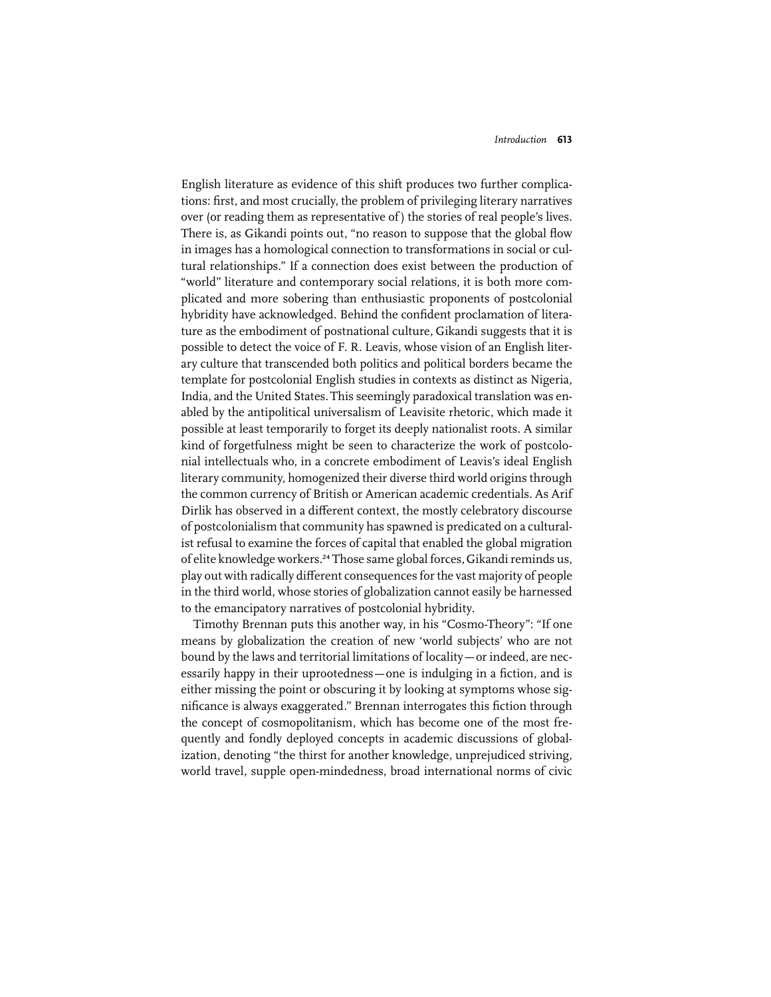English literature as evidence of this shift produces two further complications: first, and most crucially, the problem of privileging literary narratives over (or reading them as representative of ) the stories of real people's lives. There is, as Gikandi points out, "no reason to suppose that the global flow in images has a homological connection to transformations in social or cultural relationships.'' If a connection does exist between the production of "world" literature and contemporary social relations, it is both more complicated and more sobering than enthusiastic proponents of postcolonial hybridity have acknowledged. Behind the confident proclamation of literature as the embodiment of postnational culture, Gikandi suggests that it is possible to detect the voice of F. R. Leavis, whose vision of an English literary culture that transcended both politics and political borders became the template for postcolonial English studies in contexts as distinct as Nigeria, India, and the United States. This seemingly paradoxical translation was enabled by the antipolitical universalism of Leavisite rhetoric, which made it possible at least temporarily to forget its deeply nationalist roots. A similar kind of forgetfulness might be seen to characterize the work of postcolonial intellectuals who, in a concrete embodiment of Leavis's ideal English literary community, homogenized their diverse third world origins through the common currency of British or American academic credentials. As Arif Dirlik has observed in a different context, the mostly celebratory discourse of postcolonialism that community has spawned is predicated on a culturalist refusal to examine the forces of capital that enabled the global migration of elite knowledge workers.24 Those same global forces,Gikandi reminds us, play out with radically different consequences for the vast majority of people in the third world, whose stories of globalization cannot easily be harnessed to the emancipatory narratives of postcolonial hybridity.

Timothy Brennan puts this another way, in his ''Cosmo-Theory'': ''If one means by globalization the creation of new 'world subjects' who are not bound by the laws and territorial limitations of locality—or indeed, are necessarily happy in their uprootedness—one is indulging in a fiction, and is either missing the point or obscuring it by looking at symptoms whose significance is always exaggerated.'' Brennan interrogates this fiction through the concept of cosmopolitanism, which has become one of the most frequently and fondly deployed concepts in academic discussions of globalization, denoting "the thirst for another knowledge, unprejudiced striving, world travel, supple open-mindedness, broad international norms of civic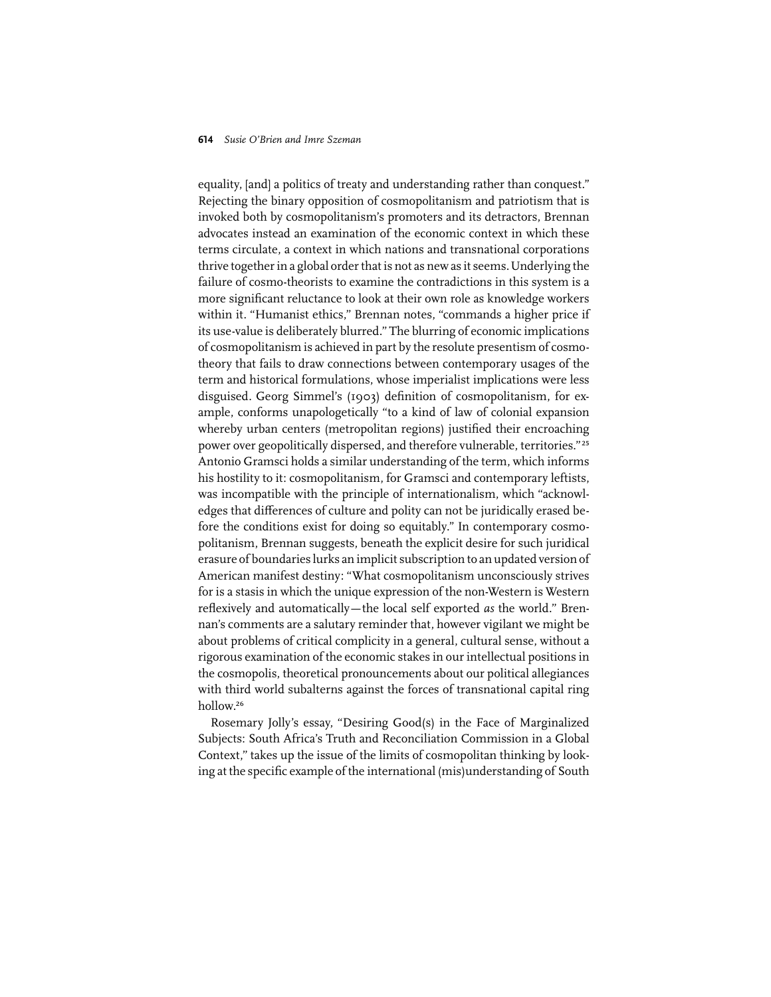equality, [and] a politics of treaty and understanding rather than conquest.'' Rejecting the binary opposition of cosmopolitanism and patriotism that is invoked both by cosmopolitanism's promoters and its detractors, Brennan advocates instead an examination of the economic context in which these terms circulate, a context in which nations and transnational corporations thrive together in a global order that is not as new as it seems.Underlying the failure of cosmo-theorists to examine the contradictions in this system is a more significant reluctance to look at their own role as knowledge workers within it. "Humanist ethics," Brennan notes, "commands a higher price if its use-value is deliberately blurred.'' The blurring of economic implications of cosmopolitanism is achieved in part by the resolute presentism of cosmotheory that fails to draw connections between contemporary usages of the term and historical formulations, whose imperialist implications were less disguised. Georg Simmel's (1903) definition of cosmopolitanism, for example, conforms unapologetically ''to a kind of law of colonial expansion whereby urban centers (metropolitan regions) justified their encroaching power over geopolitically dispersed, and therefore vulnerable, territories.''25 Antonio Gramsci holds a similar understanding of the term, which informs his hostility to it: cosmopolitanism, for Gramsci and contemporary leftists, was incompatible with the principle of internationalism, which ''acknowledges that differences of culture and polity can not be juridically erased before the conditions exist for doing so equitably.'' In contemporary cosmopolitanism, Brennan suggests, beneath the explicit desire for such juridical erasure of boundaries lurks an implicit subscription to an updated version of American manifest destiny: ''What cosmopolitanism unconsciously strives for is a stasis in which the unique expression of the non-Western is Western reflexively and automatically—the local self exported as the world.'' Brennan's comments are a salutary reminder that, however vigilant we might be about problems of critical complicity in a general, cultural sense, without a rigorous examination of the economic stakes in our intellectual positions in the cosmopolis, theoretical pronouncements about our political allegiances with third world subalterns against the forces of transnational capital ring hollow.26

Rosemary Jolly's essay, ''Desiring Good(s) in the Face of Marginalized Subjects: South Africa's Truth and Reconciliation Commission in a Global Context," takes up the issue of the limits of cosmopolitan thinking by looking at the specific example of the international (mis)understanding of South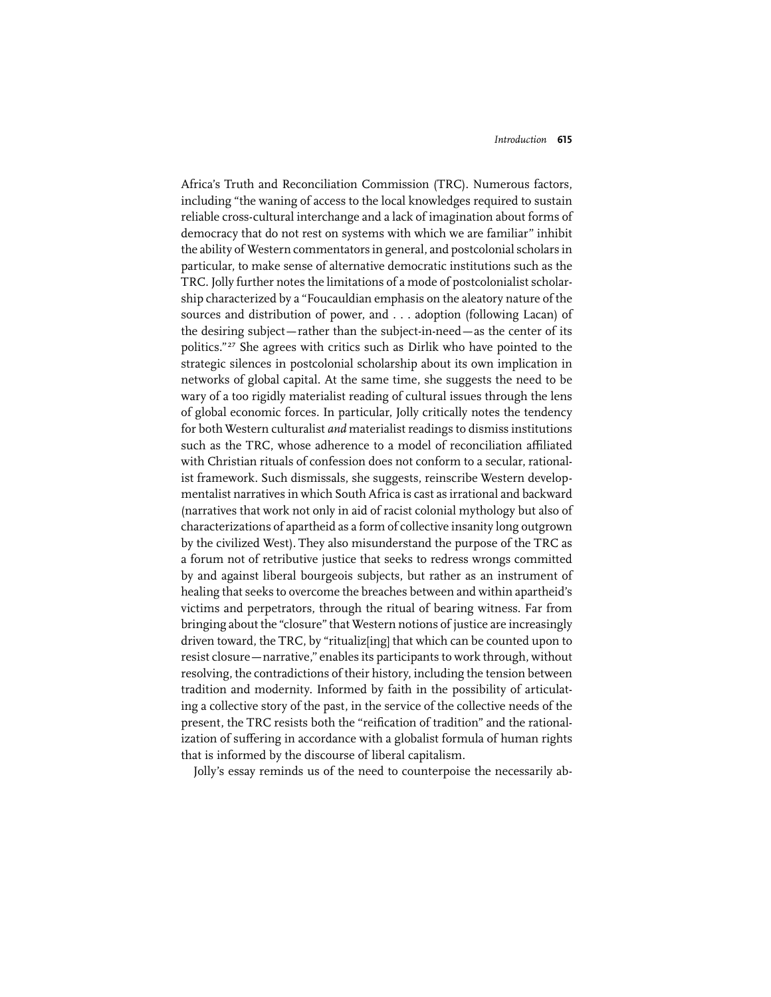Africa's Truth and Reconciliation Commission (TRC). Numerous factors, including ''the waning of access to the local knowledges required to sustain reliable cross-cultural interchange and a lack of imagination about forms of democracy that do not rest on systems with which we are familiar'' inhibit the ability of Western commentators in general, and postcolonial scholars in particular, to make sense of alternative democratic institutions such as the TRC. Jolly further notes the limitations of a mode of postcolonialist scholarship characterized by a ''Foucauldian emphasis on the aleatory nature of the sources and distribution of power, and . . . adoption (following Lacan) of the desiring subject—rather than the subject-in-need—as the center of its politics.''27 She agrees with critics such as Dirlik who have pointed to the strategic silences in postcolonial scholarship about its own implication in networks of global capital. At the same time, she suggests the need to be wary of a too rigidly materialist reading of cultural issues through the lens of global economic forces. In particular, Jolly critically notes the tendency for both Western culturalist and materialist readings to dismiss institutions such as the TRC, whose adherence to a model of reconciliation affiliated with Christian rituals of confession does not conform to a secular, rationalist framework. Such dismissals, she suggests, reinscribe Western developmentalist narratives in which South Africa is cast as irrational and backward (narratives that work not only in aid of racist colonial mythology but also of characterizations of apartheid as a form of collective insanity long outgrown by the civilized West). They also misunderstand the purpose of the TRC as a forum not of retributive justice that seeks to redress wrongs committed by and against liberal bourgeois subjects, but rather as an instrument of healing that seeks to overcome the breaches between and within apartheid's victims and perpetrators, through the ritual of bearing witness. Far from bringing about the "closure" that Western notions of justice are increasingly driven toward, the TRC, by "ritualiz[ing] that which can be counted upon to resist closure—narrative,'' enables its participants to work through, without resolving, the contradictions of their history, including the tension between tradition and modernity. Informed by faith in the possibility of articulating a collective story of the past, in the service of the collective needs of the present, the TRC resists both the ''reification of tradition'' and the rationalization of suffering in accordance with a globalist formula of human rights that is informed by the discourse of liberal capitalism.

Jolly's essay reminds us of the need to counterpoise the necessarily ab-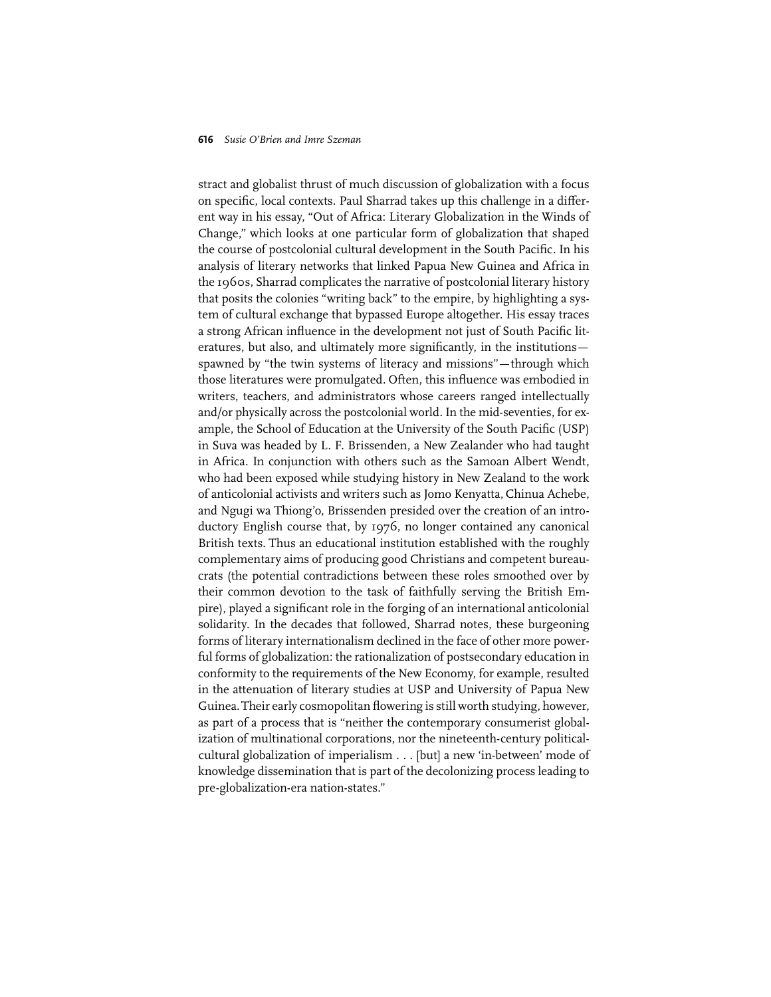stract and globalist thrust of much discussion of globalization with a focus on specific, local contexts. Paul Sharrad takes up this challenge in a different way in his essay, ''Out of Africa: Literary Globalization in the Winds of Change,'' which looks at one particular form of globalization that shaped the course of postcolonial cultural development in the South Pacific. In his analysis of literary networks that linked Papua New Guinea and Africa in the 1960s, Sharrad complicates the narrative of postcolonial literary history that posits the colonies ''writing back'' to the empire, by highlighting a system of cultural exchange that bypassed Europe altogether. His essay traces a strong African influence in the development not just of South Pacific literatures, but also, and ultimately more significantly, in the institutions spawned by ''the twin systems of literacy and missions''—through which those literatures were promulgated. Often, this influence was embodied in writers, teachers, and administrators whose careers ranged intellectually and/or physically across the postcolonial world. In the mid-seventies, for example, the School of Education at the University of the South Pacific (USP) in Suva was headed by L. F. Brissenden, a New Zealander who had taught in Africa. In conjunction with others such as the Samoan Albert Wendt, who had been exposed while studying history in New Zealand to the work of anticolonial activists and writers such as Jomo Kenyatta, Chinua Achebe, and Ngugi wa Thiong'o, Brissenden presided over the creation of an introductory English course that, by 1976, no longer contained any canonical British texts. Thus an educational institution established with the roughly complementary aims of producing good Christians and competent bureaucrats (the potential contradictions between these roles smoothed over by their common devotion to the task of faithfully serving the British Empire), played a significant role in the forging of an international anticolonial solidarity. In the decades that followed, Sharrad notes, these burgeoning forms of literary internationalism declined in the face of other more powerful forms of globalization: the rationalization of postsecondary education in conformity to the requirements of the New Economy, for example, resulted in the attenuation of literary studies at USP and University of Papua New Guinea.Their early cosmopolitan flowering is still worth studying, however, as part of a process that is ''neither the contemporary consumerist globalization of multinational corporations, nor the nineteenth-century politicalcultural globalization of imperialism . . . [but] a new 'in-between' mode of knowledge dissemination that is part of the decolonizing process leading to pre-globalization-era nation-states.''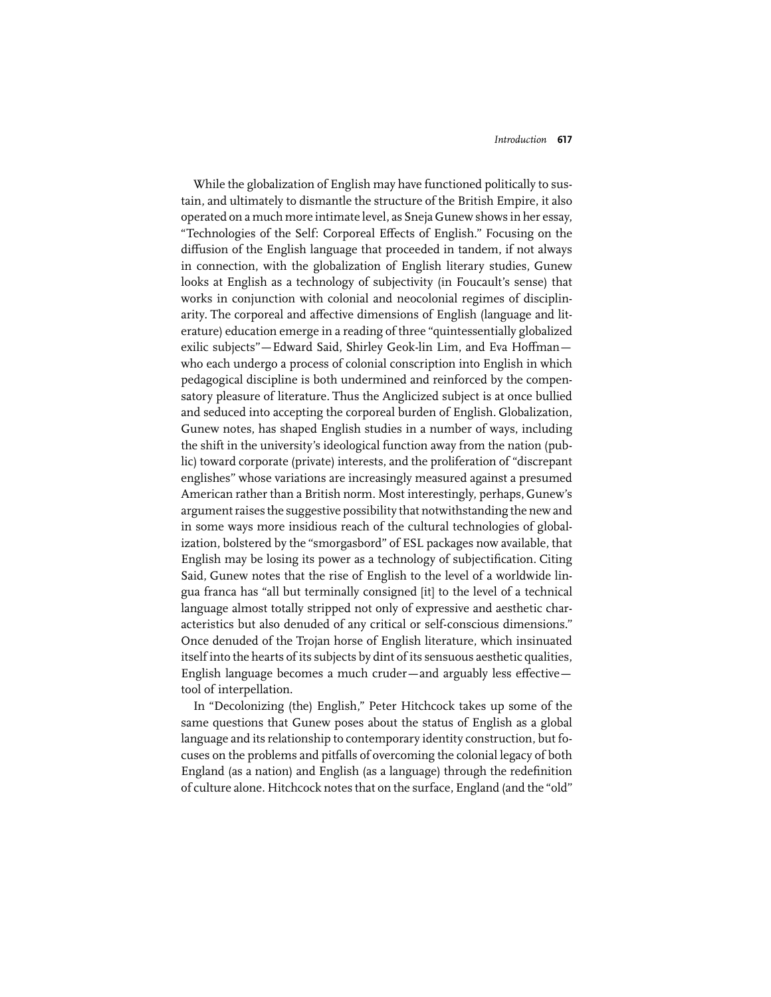While the globalization of English may have functioned politically to sustain, and ultimately to dismantle the structure of the British Empire, it also operated on a much more intimate level, as Sneja Gunew shows in her essay, ''Technologies of the Self: Corporeal Effects of English.'' Focusing on the diffusion of the English language that proceeded in tandem, if not always in connection, with the globalization of English literary studies, Gunew looks at English as a technology of subjectivity (in Foucault's sense) that works in conjunction with colonial and neocolonial regimes of disciplinarity. The corporeal and affective dimensions of English (language and literature) education emerge in a reading of three ''quintessentially globalized exilic subjects''—Edward Said, Shirley Geok-lin Lim, and Eva Hoffman who each undergo a process of colonial conscription into English in which pedagogical discipline is both undermined and reinforced by the compensatory pleasure of literature. Thus the Anglicized subject is at once bullied and seduced into accepting the corporeal burden of English. Globalization, Gunew notes, has shaped English studies in a number of ways, including the shift in the university's ideological function away from the nation (public) toward corporate (private) interests, and the proliferation of ''discrepant englishes'' whose variations are increasingly measured against a presumed American rather than a British norm. Most interestingly, perhaps, Gunew's argument raises the suggestive possibility that notwithstanding the new and in some ways more insidious reach of the cultural technologies of globalization, bolstered by the "smorgasbord" of ESL packages now available, that English may be losing its power as a technology of subjectification. Citing Said, Gunew notes that the rise of English to the level of a worldwide lingua franca has ''all but terminally consigned [it] to the level of a technical language almost totally stripped not only of expressive and aesthetic characteristics but also denuded of any critical or self-conscious dimensions.'' Once denuded of the Trojan horse of English literature, which insinuated itself into the hearts of its subjects by dint of its sensuous aesthetic qualities, English language becomes a much cruder—and arguably less effective tool of interpellation.

In ''Decolonizing (the) English,'' Peter Hitchcock takes up some of the same questions that Gunew poses about the status of English as a global language and its relationship to contemporary identity construction, but focuses on the problems and pitfalls of overcoming the colonial legacy of both England (as a nation) and English (as a language) through the redefinition of culture alone. Hitchcock notes that on the surface, England (and the "old"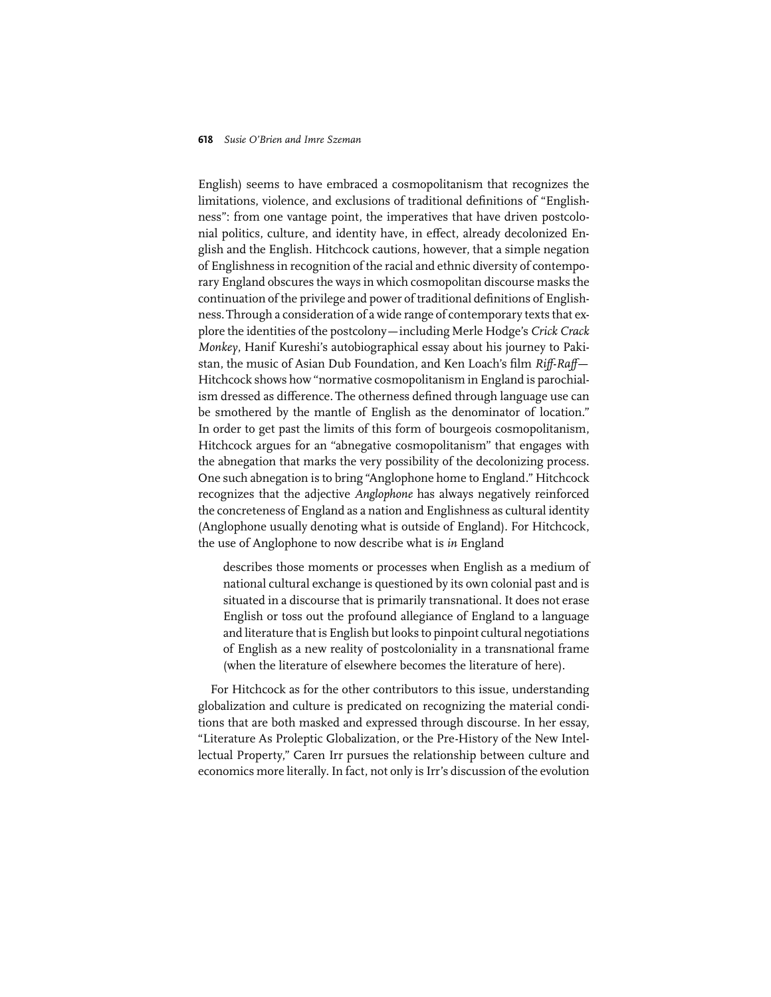English) seems to have embraced a cosmopolitanism that recognizes the limitations, violence, and exclusions of traditional definitions of ''Englishness'': from one vantage point, the imperatives that have driven postcolonial politics, culture, and identity have, in effect, already decolonized English and the English. Hitchcock cautions, however, that a simple negation of Englishness in recognition of the racial and ethnic diversity of contemporary England obscures the ways in which cosmopolitan discourse masks the continuation of the privilege and power of traditional definitions of Englishness. Through a consideration of a wide range of contemporary texts that explore the identities of the postcolony—including Merle Hodge's Crick Crack Monkey, Hanif Kureshi's autobiographical essay about his journey to Pakistan, the music of Asian Dub Foundation, and Ken Loach's film Riff-Raff— Hitchcock shows how ''normative cosmopolitanism in England is parochialism dressed as difference. The otherness defined through language use can be smothered by the mantle of English as the denominator of location.'' In order to get past the limits of this form of bourgeois cosmopolitanism, Hitchcock argues for an ''abnegative cosmopolitanism'' that engages with the abnegation that marks the very possibility of the decolonizing process. One such abnegation is to bring ''Anglophone home to England.'' Hitchcock recognizes that the adjective Anglophone has always negatively reinforced the concreteness of England as a nation and Englishness as cultural identity (Anglophone usually denoting what is outside of England). For Hitchcock, the use of Anglophone to now describe what is in England

describes those moments or processes when English as a medium of national cultural exchange is questioned by its own colonial past and is situated in a discourse that is primarily transnational. It does not erase English or toss out the profound allegiance of England to a language and literature that is English but looks to pinpoint cultural negotiations of English as a new reality of postcoloniality in a transnational frame (when the literature of elsewhere becomes the literature of here).

For Hitchcock as for the other contributors to this issue, understanding globalization and culture is predicated on recognizing the material conditions that are both masked and expressed through discourse. In her essay, ''Literature As Proleptic Globalization, or the Pre-History of the New Intellectual Property,'' Caren Irr pursues the relationship between culture and economics more literally. In fact, not only is Irr's discussion of the evolution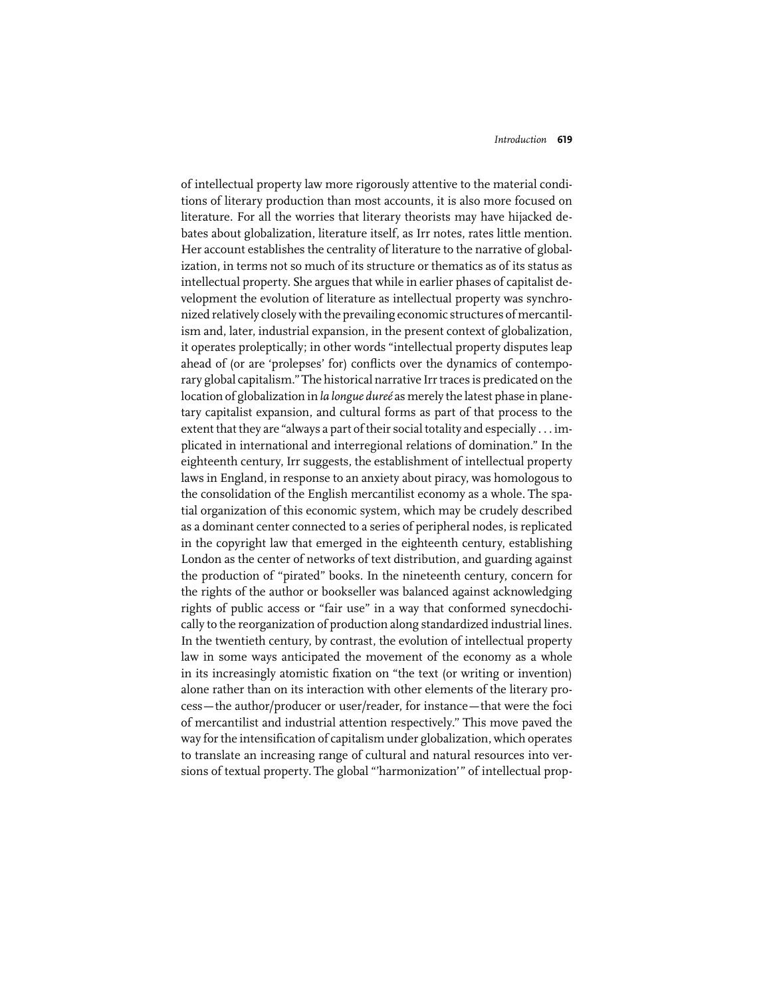of intellectual property law more rigorously attentive to the material conditions of literary production than most accounts, it is also more focused on literature. For all the worries that literary theorists may have hijacked debates about globalization, literature itself, as Irr notes, rates little mention. Her account establishes the centrality of literature to the narrative of globalization, in terms not so much of its structure or thematics as of its status as intellectual property. She argues that while in earlier phases of capitalist development the evolution of literature as intellectual property was synchronized relatively closely with the prevailing economic structures of mercantilism and, later, industrial expansion, in the present context of globalization, it operates proleptically; in other words ''intellectual property disputes leap ahead of (or are 'prolepses' for) conflicts over the dynamics of contemporary global capitalism.'' The historical narrative Irr traces is predicated on the location of globalization in la longue dureé as merely the latest phase in planetary capitalist expansion, and cultural forms as part of that process to the extent that they are "always a part of their social totality and especially . . . implicated in international and interregional relations of domination.'' In the eighteenth century, Irr suggests, the establishment of intellectual property laws in England, in response to an anxiety about piracy, was homologous to the consolidation of the English mercantilist economy as a whole. The spatial organization of this economic system, which may be crudely described as a dominant center connected to a series of peripheral nodes, is replicated in the copyright law that emerged in the eighteenth century, establishing London as the center of networks of text distribution, and guarding against the production of ''pirated'' books. In the nineteenth century, concern for the rights of the author or bookseller was balanced against acknowledging rights of public access or "fair use" in a way that conformed synecdochically to the reorganization of production along standardized industrial lines. In the twentieth century, by contrast, the evolution of intellectual property law in some ways anticipated the movement of the economy as a whole in its increasingly atomistic fixation on ''the text (or writing or invention) alone rather than on its interaction with other elements of the literary process—the author/producer or user/reader, for instance—that were the foci of mercantilist and industrial attention respectively.'' This move paved the way for the intensification of capitalism under globalization, which operates to translate an increasing range of cultural and natural resources into versions of textual property. The global "'harmonization'" of intellectual prop-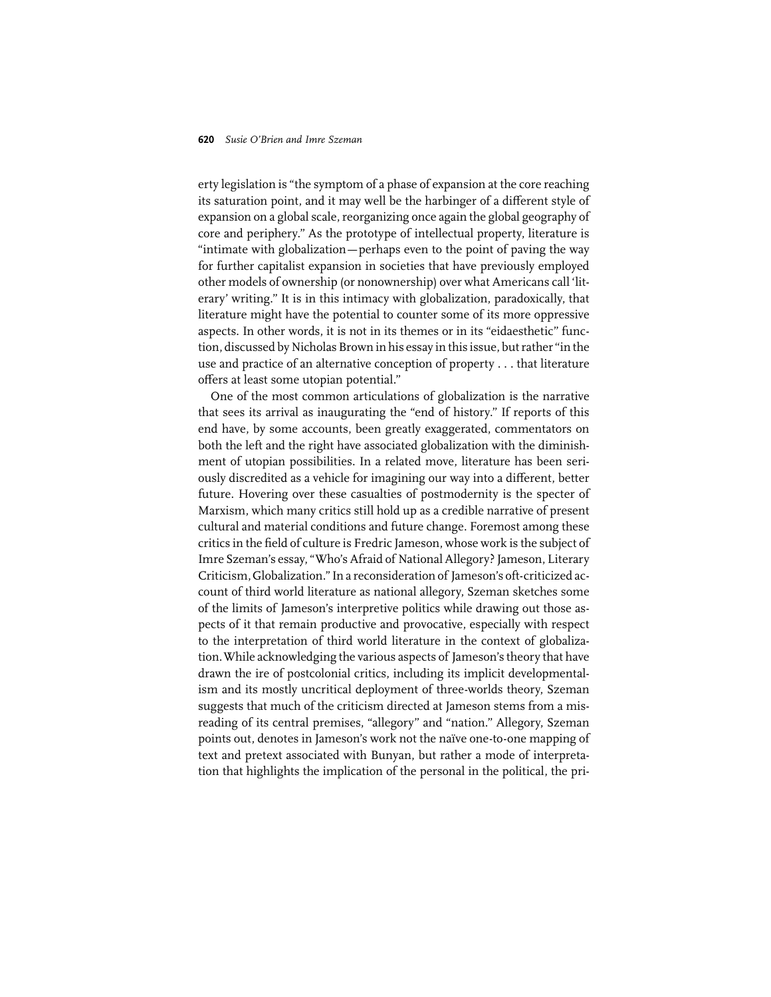erty legislation is ''the symptom of a phase of expansion at the core reaching its saturation point, and it may well be the harbinger of a different style of expansion on a global scale, reorganizing once again the global geography of core and periphery.'' As the prototype of intellectual property, literature is ''intimate with globalization—perhaps even to the point of paving the way for further capitalist expansion in societies that have previously employed other models of ownership (or nonownership) over what Americans call 'literary' writing.'' It is in this intimacy with globalization, paradoxically, that literature might have the potential to counter some of its more oppressive aspects. In other words, it is not in its themes or in its ''eidaesthetic'' function, discussed by Nicholas Brown in his essay in this issue, but rather ''in the use and practice of an alternative conception of property... that literature offers at least some utopian potential.''

One of the most common articulations of globalization is the narrative that sees its arrival as inaugurating the "end of history." If reports of this end have, by some accounts, been greatly exaggerated, commentators on both the left and the right have associated globalization with the diminishment of utopian possibilities. In a related move, literature has been seriously discredited as a vehicle for imagining our way into a different, better future. Hovering over these casualties of postmodernity is the specter of Marxism, which many critics still hold up as a credible narrative of present cultural and material conditions and future change. Foremost among these critics in the field of culture is Fredric Jameson, whose work is the subject of Imre Szeman's essay, ''Who's Afraid of National Allegory? Jameson, Literary Criticism,Globalization.'' In a reconsideration of Jameson's oft-criticized account of third world literature as national allegory, Szeman sketches some of the limits of Jameson's interpretive politics while drawing out those aspects of it that remain productive and provocative, especially with respect to the interpretation of third world literature in the context of globalization.While acknowledging the various aspects of Jameson's theory that have drawn the ire of postcolonial critics, including its implicit developmentalism and its mostly uncritical deployment of three-worlds theory, Szeman suggests that much of the criticism directed at Jameson stems from a misreading of its central premises, "allegory" and "nation." Allegory, Szeman points out, denotes in Jameson's work not the naïve one-to-one mapping of text and pretext associated with Bunyan, but rather a mode of interpretation that highlights the implication of the personal in the political, the pri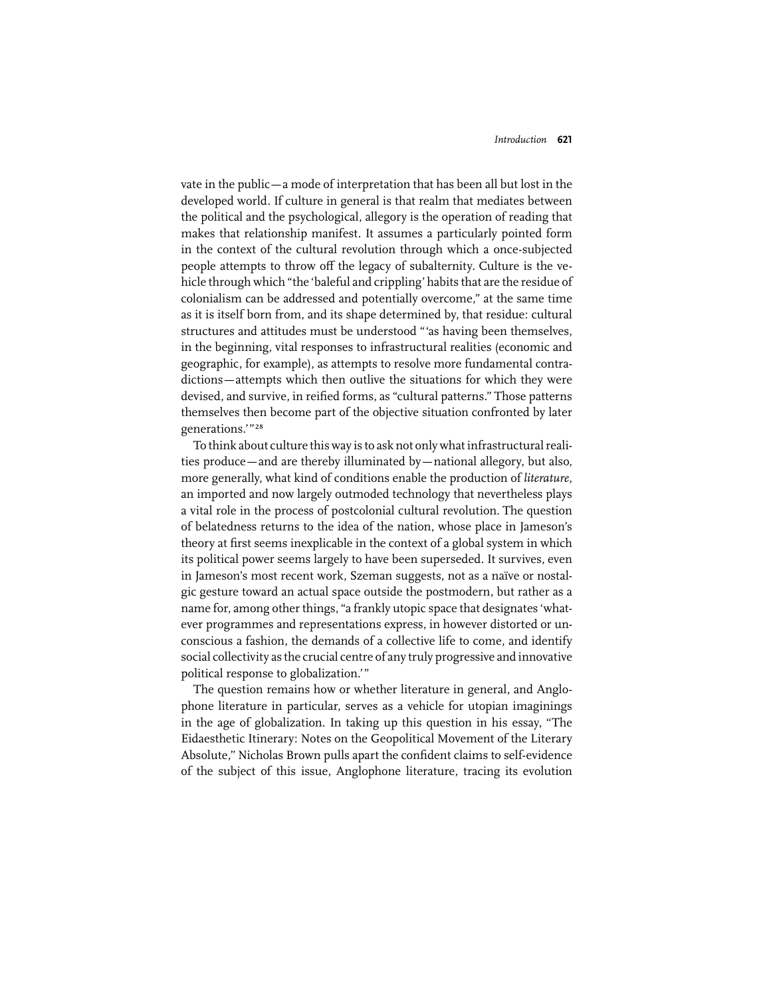vate in the public—a mode of interpretation that has been all but lost in the developed world. If culture in general is that realm that mediates between the political and the psychological, allegory is the operation of reading that makes that relationship manifest. It assumes a particularly pointed form in the context of the cultural revolution through which a once-subjected people attempts to throw off the legacy of subalternity. Culture is the vehicle through which "the 'baleful and crippling' habits that are the residue of colonialism can be addressed and potentially overcome,'' at the same time as it is itself born from, and its shape determined by, that residue: cultural structures and attitudes must be understood "'as having been themselves, in the beginning, vital responses to infrastructural realities (economic and geographic, for example), as attempts to resolve more fundamental contradictions—attempts which then outlive the situations for which they were devised, and survive, in reified forms, as ''cultural patterns.'' Those patterns themselves then become part of the objective situation confronted by later generations.'''28

To think about culture this way is to ask not only what infrastructural realities produce—and are thereby illuminated by—national allegory, but also, more generally, what kind of conditions enable the production of literature, an imported and now largely outmoded technology that nevertheless plays a vital role in the process of postcolonial cultural revolution. The question of belatedness returns to the idea of the nation, whose place in Jameson's theory at first seems inexplicable in the context of a global system in which its political power seems largely to have been superseded. It survives, even in Jameson's most recent work, Szeman suggests, not as a naïve or nostalgic gesture toward an actual space outside the postmodern, but rather as a name for, among other things, "a frankly utopic space that designates 'whatever programmes and representations express, in however distorted or unconscious a fashion, the demands of a collective life to come, and identify social collectivity as the crucial centre of any truly progressive and innovative political response to globalization.'''

The question remains how or whether literature in general, and Anglophone literature in particular, serves as a vehicle for utopian imaginings in the age of globalization. In taking up this question in his essay, ''The Eidaesthetic Itinerary: Notes on the Geopolitical Movement of the Literary Absolute,'' Nicholas Brown pulls apart the confident claims to self-evidence of the subject of this issue, Anglophone literature, tracing its evolution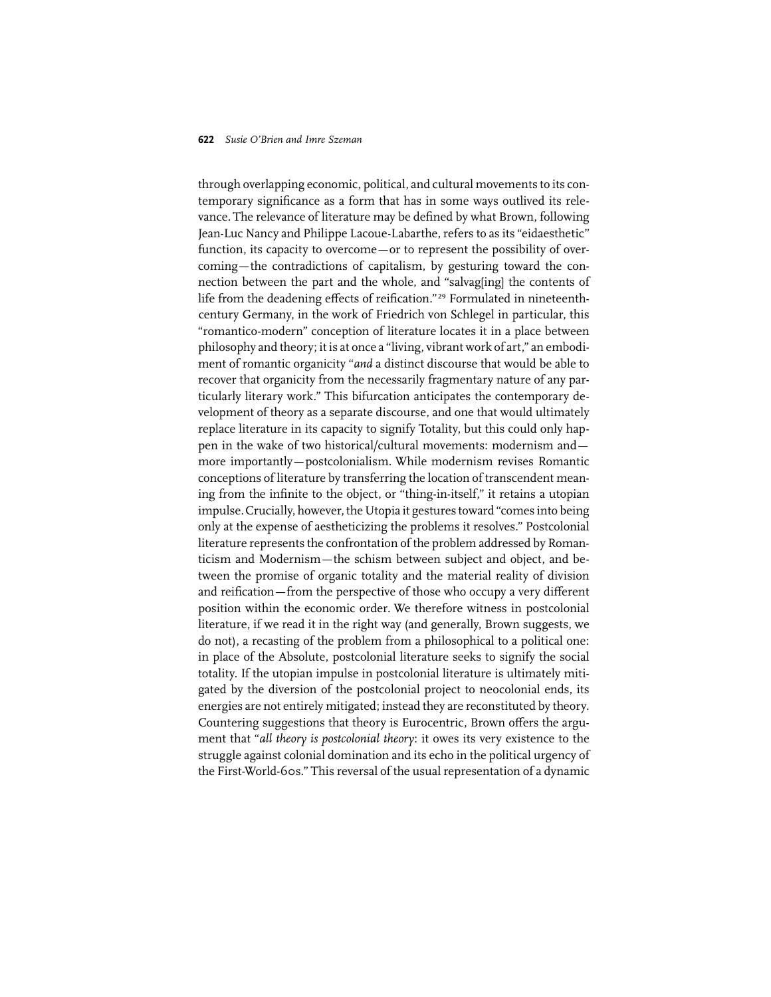through overlapping economic, political, and cultural movements to its contemporary significance as a form that has in some ways outlived its relevance. The relevance of literature may be defined by what Brown, following Jean-Luc Nancy and Philippe Lacoue-Labarthe, refers to as its ''eidaesthetic'' function, its capacity to overcome—or to represent the possibility of overcoming—the contradictions of capitalism, by gesturing toward the connection between the part and the whole, and ''salvag[ing] the contents of life from the deadening effects of reification."<sup>29</sup> Formulated in nineteenthcentury Germany, in the work of Friedrich von Schlegel in particular, this ''romantico-modern'' conception of literature locates it in a place between philosophy and theory; it is at once a ''living, vibrant work of art,'' an embodiment of romantic organicity "and a distinct discourse that would be able to recover that organicity from the necessarily fragmentary nature of any particularly literary work.'' This bifurcation anticipates the contemporary development of theory as a separate discourse, and one that would ultimately replace literature in its capacity to signify Totality, but this could only happen in the wake of two historical/cultural movements: modernism and more importantly—postcolonialism. While modernism revises Romantic conceptions of literature by transferring the location of transcendent meaning from the infinite to the object, or ''thing-in-itself,'' it retains a utopian impulse.Crucially, however, the Utopia it gestures toward ''comes into being only at the expense of aestheticizing the problems it resolves.'' Postcolonial literature represents the confrontation of the problem addressed by Romanticism and Modernism—the schism between subject and object, and between the promise of organic totality and the material reality of division and reification—from the perspective of those who occupy a very different position within the economic order. We therefore witness in postcolonial literature, if we read it in the right way (and generally, Brown suggests, we do not), a recasting of the problem from a philosophical to a political one: in place of the Absolute, postcolonial literature seeks to signify the social totality. If the utopian impulse in postcolonial literature is ultimately mitigated by the diversion of the postcolonial project to neocolonial ends, its energies are not entirely mitigated; instead they are reconstituted by theory. Countering suggestions that theory is Eurocentric, Brown offers the argument that "all theory is postcolonial theory: it owes its very existence to the struggle against colonial domination and its echo in the political urgency of the First-World-60s." This reversal of the usual representation of a dynamic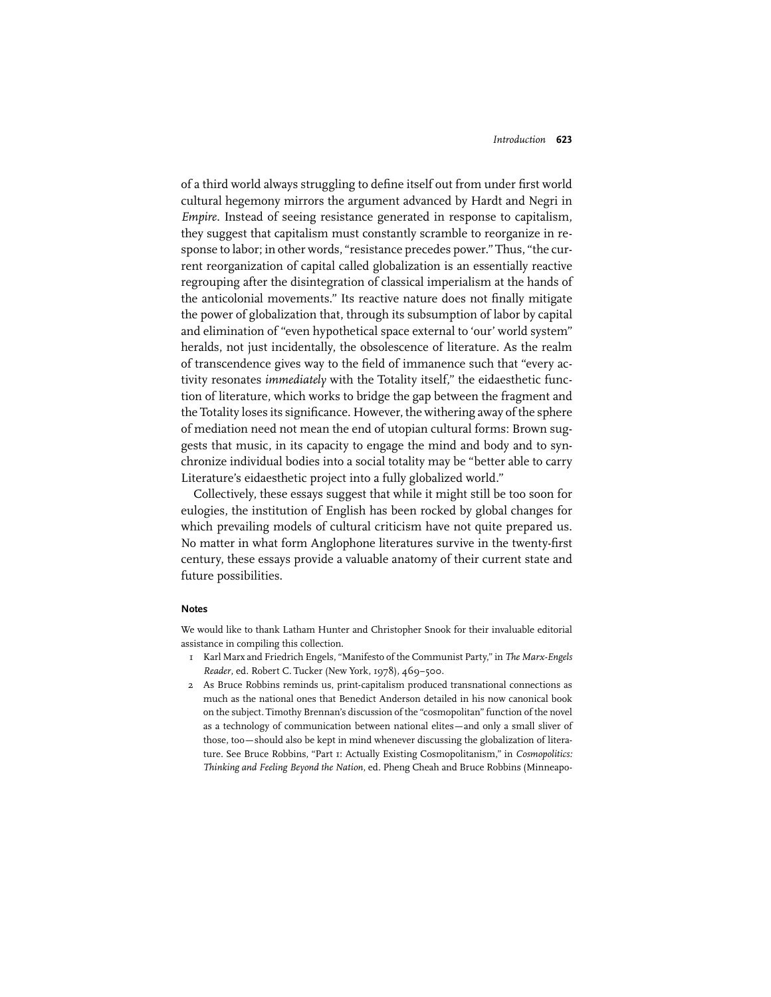of a third world always struggling to define itself out from under first world cultural hegemony mirrors the argument advanced by Hardt and Negri in Empire. Instead of seeing resistance generated in response to capitalism, they suggest that capitalism must constantly scramble to reorganize in response to labor; in other words, "resistance precedes power." Thus, "the current reorganization of capital called globalization is an essentially reactive regrouping after the disintegration of classical imperialism at the hands of the anticolonial movements.'' Its reactive nature does not finally mitigate the power of globalization that, through its subsumption of labor by capital and elimination of "even hypothetical space external to 'our' world system" heralds, not just incidentally, the obsolescence of literature. As the realm of transcendence gives way to the field of immanence such that ''every activity resonates immediately with the Totality itself," the eidaesthetic function of literature, which works to bridge the gap between the fragment and the Totality loses its significance. However, the withering away of the sphere of mediation need not mean the end of utopian cultural forms: Brown suggests that music, in its capacity to engage the mind and body and to synchronize individual bodies into a social totality may be ''better able to carry Literature's eidaesthetic project into a fully globalized world.''

Collectively, these essays suggest that while it might still be too soon for eulogies, the institution of English has been rocked by global changes for which prevailing models of cultural criticism have not quite prepared us. No matter in what form Anglophone literatures survive in the twenty-first century, these essays provide a valuable anatomy of their current state and future possibilities.

## Notes

We would like to thank Latham Hunter and Christopher Snook for their invaluable editorial assistance in compiling this collection.

- I Karl Marx and Friedrich Engels, "Manifesto of the Communist Party," in The Marx-Engels Reader, ed. Robert C. Tucker (New York, 1978), 469-500.
- As Bruce Robbins reminds us, print-capitalism produced transnational connections as much as the national ones that Benedict Anderson detailed in his now canonical book on the subject. Timothy Brennan's discussion of the ''cosmopolitan'' function of the novel as a technology of communication between national elites—and only a small sliver of those, too—should also be kept in mind whenever discussing the globalization of literature. See Bruce Robbins, "Part 1: Actually Existing Cosmopolitanism," in Cosmopolitics: Thinking and Feeling Beyond the Nation, ed. Pheng Cheah and Bruce Robbins (Minneapo-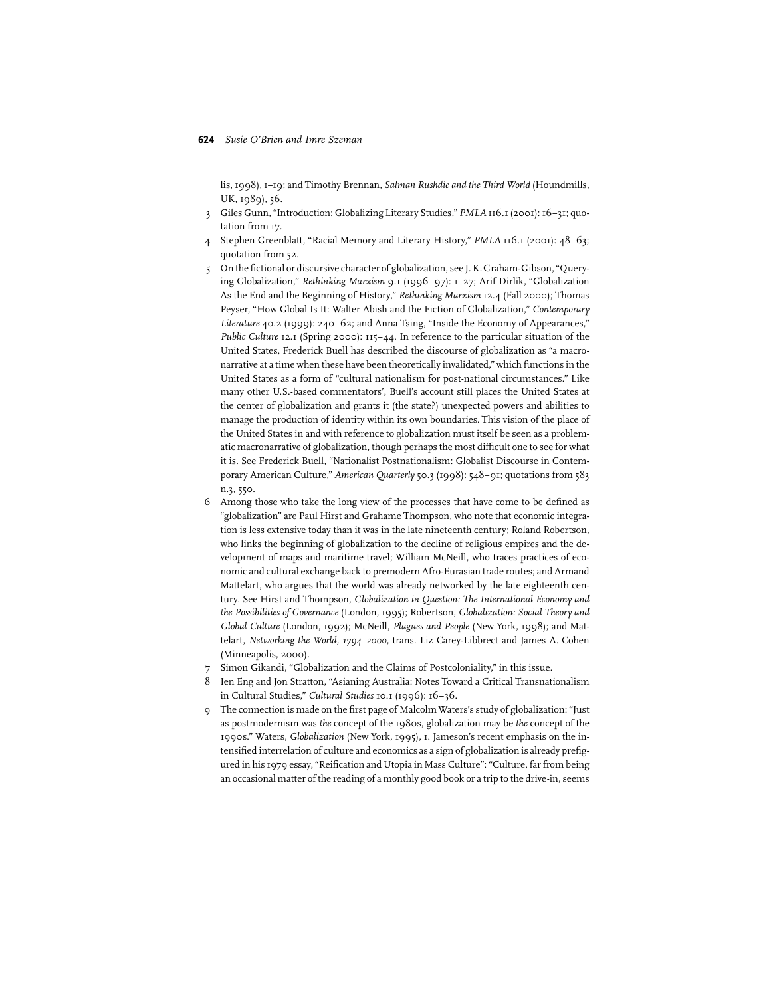lis, 1998), 1–19; and Timothy Brennan, Salman Rushdie and the Third World (Houndmills,  $UK, 1989, 56.$ 

- 3 Giles Gunn, "Introduction: Globalizing Literary Studies," PMLA 116.1 (2001): 16-31; quotation from 17.
- 4 Stephen Greenblatt, "Racial Memory and Literary History," PMLA 116.1 (2001): 48-63; quotation from 52.
- On the fictional or discursive character of globalization, see J. K.Graham-Gibson, ''Querying Globalization," Rethinking Marxism 9.1 (1996-97): 1-27; Arif Dirlik, "Globalization As the End and the Beginning of History," Rethinking Marxism 12.4 (Fall 2000); Thomas Peyser, "How Global Is It: Walter Abish and the Fiction of Globalization," Contemporary Literature 40.2 (1999): 240-62; and Anna Tsing, "Inside the Economy of Appearances," Public Culture  $12.1$  (Spring 2000):  $115-44$ . In reference to the particular situation of the United States, Frederick Buell has described the discourse of globalization as ''a macronarrative at a time when these have been theoretically invalidated,'' which functions in the United States as a form of ''cultural nationalism for post-national circumstances.'' Like many other U.S.-based commentators', Buell's account still places the United States at the center of globalization and grants it (the state?) unexpected powers and abilities to manage the production of identity within its own boundaries. This vision of the place of the United States in and with reference to globalization must itself be seen as a problematic macronarrative of globalization, though perhaps the most difficult one to see for what it is. See Frederick Buell, ''Nationalist Postnationalism: Globalist Discourse in Contemporary American Culture," American Quarterly 50.3 (1998): 548-91; quotations from 583 n.3, 550.
- Among those who take the long view of the processes that have come to be defined as ''globalization'' are Paul Hirst and Grahame Thompson, who note that economic integration is less extensive today than it was in the late nineteenth century; Roland Robertson, who links the beginning of globalization to the decline of religious empires and the development of maps and maritime travel; William McNeill, who traces practices of economic and cultural exchange back to premodern Afro-Eurasian trade routes; and Armand Mattelart, who argues that the world was already networked by the late eighteenth century. See Hirst and Thompson, Globalization in Question: The International Economy and the Possibilities of Governance (London, 1995); Robertson, Globalization: Social Theory and Global Culture (London, 1992); McNeill, Plagues and People (New York, 1998); and Mattelart, Networking the World, 1794-2000, trans. Liz Carey-Libbrect and James A. Cohen (Minneapolis, 2000).
- 7 Simon Gikandi, "Globalization and the Claims of Postcoloniality," in this issue.
- Ien Eng and Jon Stratton, ''Asianing Australia: Notes Toward a Critical Transnationalism in Cultural Studies," Cultural Studies  $\overline{10}$ ,  $\overline{10}$ ,  $\overline{10}$ ,  $\overline{16}$  –36.
- The connection is made on the first page of MalcolmWaters's study of globalization: ''Just as postmodernism was the concept of the 1980s, globalization may be the concept of the 1990s." Waters, Globalization (New York, 1995), 1. Jameson's recent emphasis on the intensified interrelation of culture and economics as a sign of globalization is already prefigured in his 1979 essay, "Reification and Utopia in Mass Culture": "Culture, far from being an occasional matter of the reading of a monthly good book or a trip to the drive-in, seems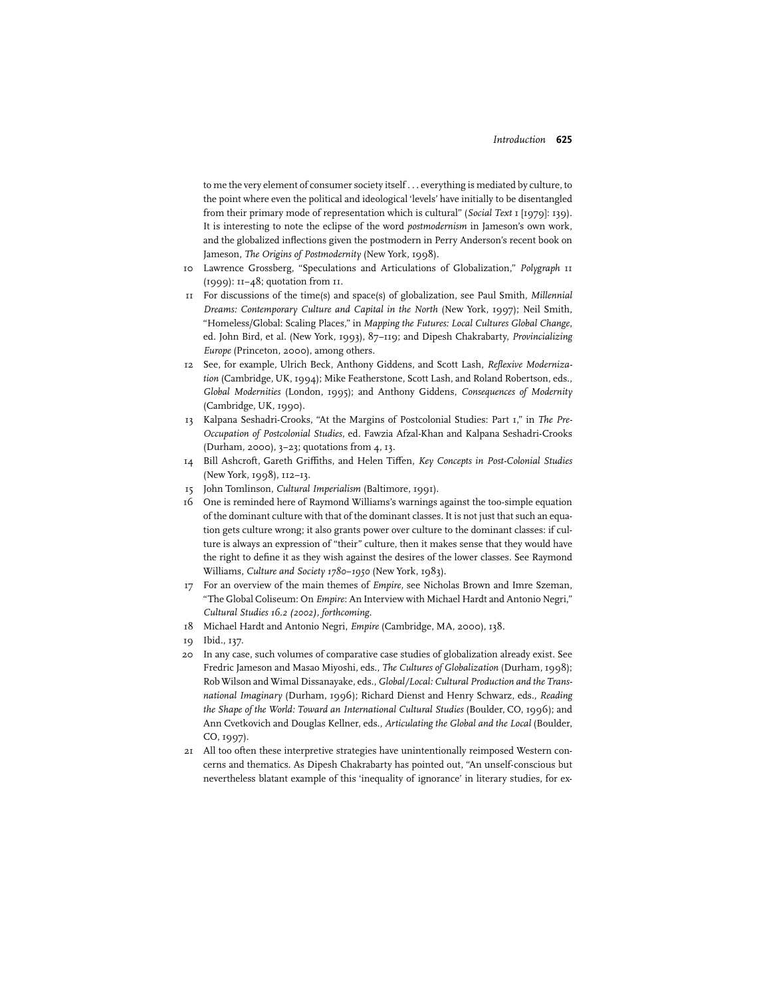to me the very element of consumer society itself... everything is mediated by culture, to the point where even the political and ideological 'levels' have initially to be disentangled from their primary mode of representation which is cultural" (Social Text  $I$  [1979]: 139). It is interesting to note the eclipse of the word postmodernism in Jameson's own work, and the globalized inflections given the postmodern in Perry Anderson's recent book on Jameson, The Origins of Postmodernity (New York, 1998).

- 10 Lawrence Grossberg, "Speculations and Articulations of Globalization," Polygraph 11  $(1999)$ :  $11-48$ ; quotation from  $11$ .
- For discussions of the time(s) and space(s) of globalization, see Paul Smith, Millennial Dreams: Contemporary Culture and Capital in the North (New York, 1997); Neil Smith, ''Homeless/Global: Scaling Places,'' in Mapping the Futures: Local Cultures Global Change, ed. John Bird, et al. (New York, 1993), 87-119; and Dipesh Chakrabarty, Provincializing Europe (Princeton, 2000), among others.
- See, for example, Ulrich Beck, Anthony Giddens, and Scott Lash, Reflexive Modernization (Cambridge, UK, 1994); Mike Featherstone, Scott Lash, and Roland Robertson, eds., Global Modernities (London, 1995); and Anthony Giddens, Consequences of Modernity (Cambridge, UK, 1990).
- 13 Kalpana Seshadri-Crooks, "At the Margins of Postcolonial Studies: Part 1," in The Pre-Occupation of Postcolonial Studies, ed. Fawzia Afzal-Khan and Kalpana Seshadri-Crooks (Durham, 2000),  $3-23$ ; quotations from 4, 13.
- Bill Ashcroft, Gareth Griffiths, and Helen Tiffen, Key Concepts in Post-Colonial Studies (New York, 1998), 112-13.
- 15 John Tomlinson, Cultural Imperialism (Baltimore, 1991).
- One is reminded here of Raymond Williams's warnings against the too-simple equation of the dominant culture with that of the dominant classes. It is not just that such an equation gets culture wrong; it also grants power over culture to the dominant classes: if culture is always an expression of ''their'' culture, then it makes sense that they would have the right to define it as they wish against the desires of the lower classes. See Raymond Williams, Culture and Society 1780-1950 (New York, 1983).
- 17 For an overview of the main themes of *Empire*, see Nicholas Brown and Imre Szeman, "The Global Coliseum: On Empire: An Interview with Michael Hardt and Antonio Negri," Cultural Studies 16.2 (2002), forthcoming.
- 18 Michael Hardt and Antonio Negri, Empire (Cambridge, MA, 2000), 138.
- 19 Ibid., 137.
- In any case, such volumes of comparative case studies of globalization already exist. See Fredric Jameson and Masao Miyoshi, eds., The Cultures of Globalization (Durham, 1998); RobWilson and Wimal Dissanayake, eds., Global/Local: Cultural Production and the Transnational Imaginary (Durham, 1996); Richard Dienst and Henry Schwarz, eds., Reading the Shape of the World: Toward an International Cultural Studies (Boulder, CO, 1996); and Ann Cvetkovich and Douglas Kellner, eds., Articulating the Global and the Local (Boulder,  $CO, 1997$ ).
- All too often these interpretive strategies have unintentionally reimposed Western concerns and thematics. As Dipesh Chakrabarty has pointed out, ''An unself-conscious but nevertheless blatant example of this 'inequality of ignorance' in literary studies, for ex-